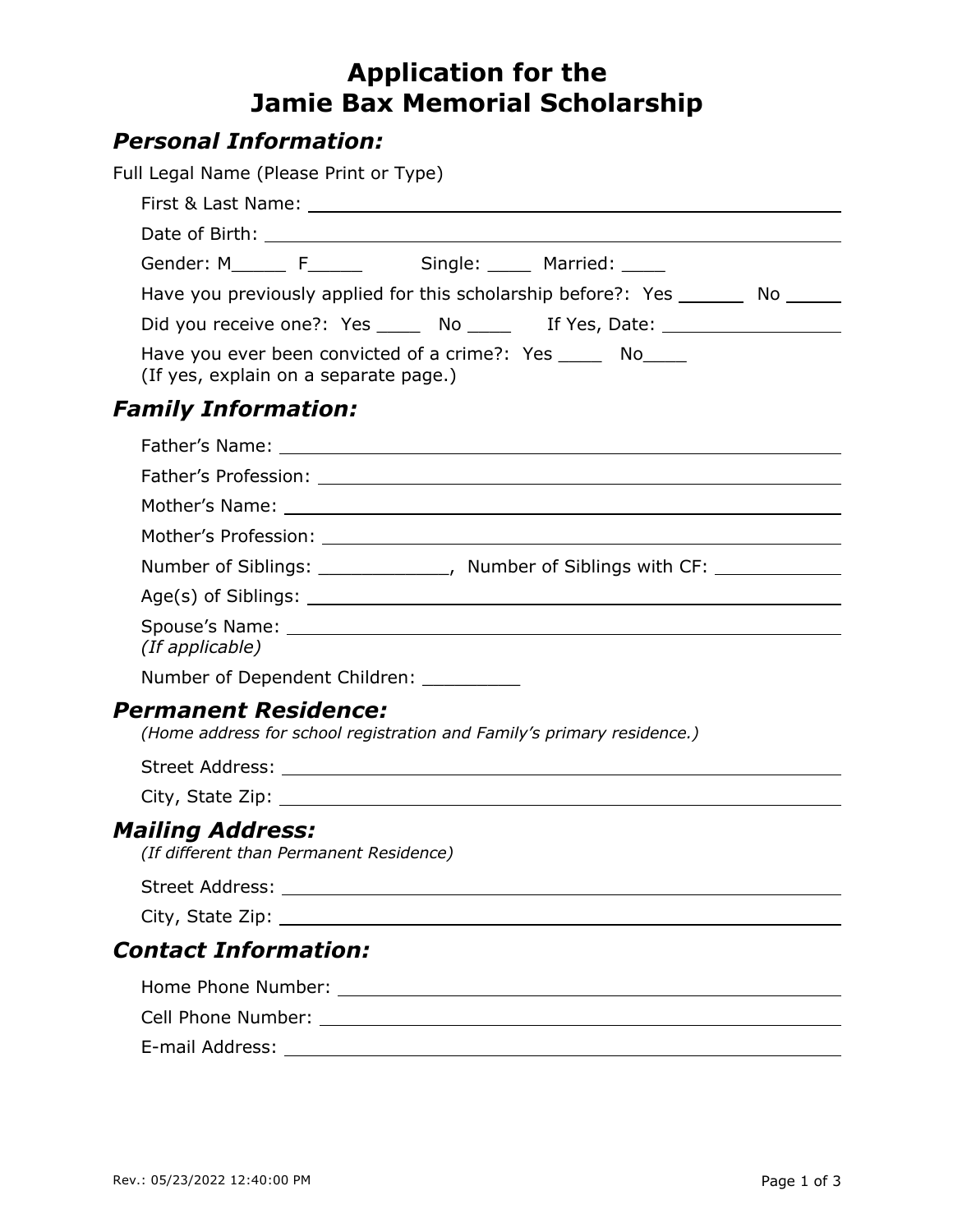# **Application for the Jamie Bax Memorial Scholarship**

## *Personal Information:*

| Full Legal Name (Please Print or Type)                                                                |  |
|-------------------------------------------------------------------------------------------------------|--|
|                                                                                                       |  |
| Date of Birth: National Assembly Property of Birth:                                                   |  |
| Gender: M________ F______________ Single: _______ Married: _____                                      |  |
| Have you previously applied for this scholarship before?: Yes ________ No ______                      |  |
| Did you receive one?: Yes _____ No _____ If Yes, Date: _________________________                      |  |
| Have you ever been convicted of a crime?: Yes ______ No<br>(If yes, explain on a separate page.)      |  |
| <b>Family Information:</b>                                                                            |  |
|                                                                                                       |  |
|                                                                                                       |  |
|                                                                                                       |  |
|                                                                                                       |  |
| Number of Siblings: ______________, Number of Siblings with CF: ________________                      |  |
|                                                                                                       |  |
| (If applicable)                                                                                       |  |
| Number of Dependent Children: _________                                                               |  |
| <b>Permanent Residence:</b><br>(Home address for school registration and Family's primary residence.) |  |
|                                                                                                       |  |
|                                                                                                       |  |
| <b>Mailing Address:</b><br>(If different than Permanent Residence)                                    |  |
|                                                                                                       |  |
|                                                                                                       |  |
| <b>Contact Information:</b>                                                                           |  |
|                                                                                                       |  |
|                                                                                                       |  |
| E-mail Address:<br><u> 1989 - Johann Stoff, amerikansk politiker (d. 1989)</u>                        |  |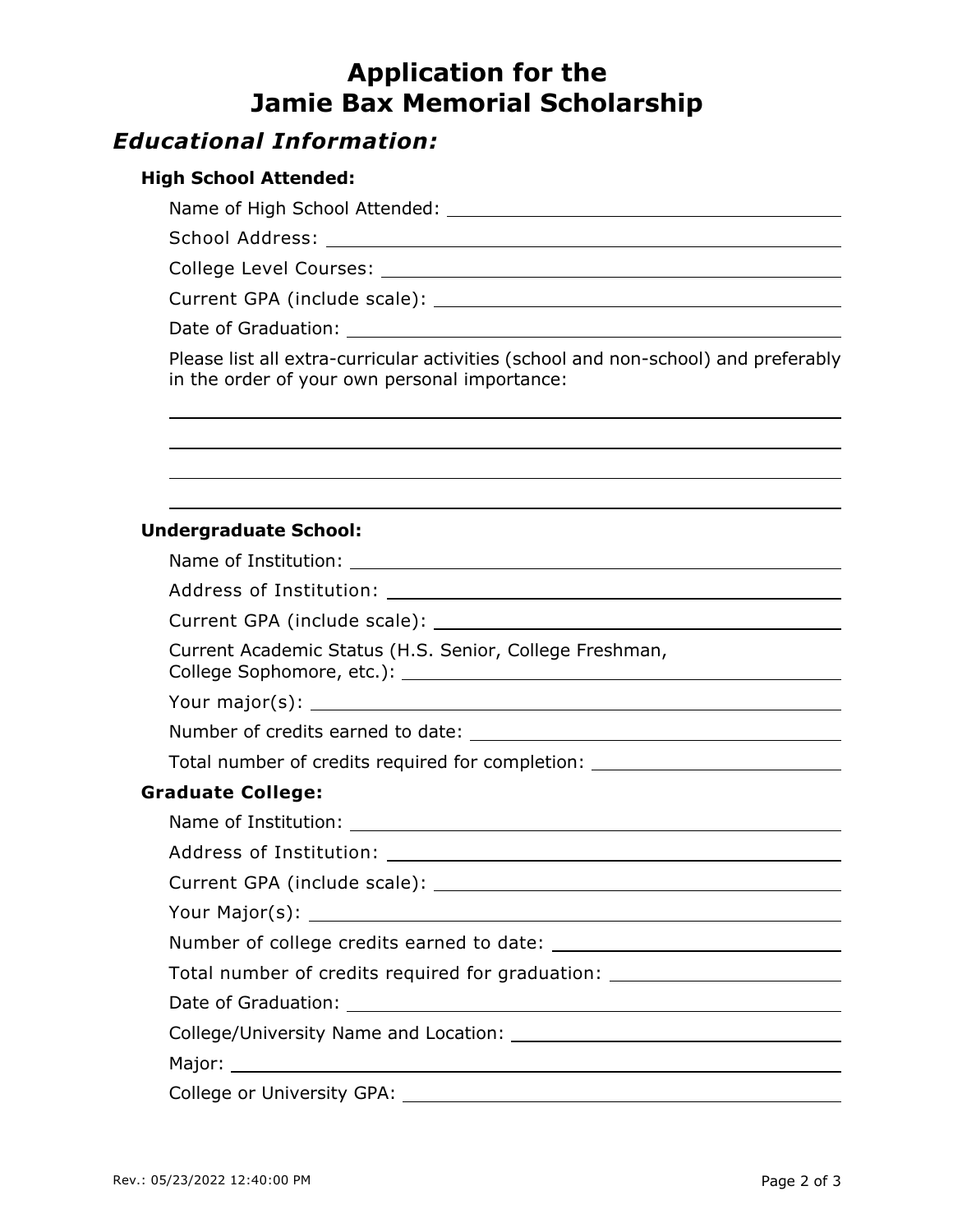# **Application for the Jamie Bax Memorial Scholarship**

## *Educational Information:*

#### **High School Attended:**

Name of High School Attended:

School Address:

College Level Courses:

Current GPA (include scale):

Date of Graduation: The Contract of Graduation:

Please list all extra-curricular activities (school and non-school) and preferably in the order of your own personal importance:

#### **Undergraduate School:**

| Current Academic Status (H.S. Senior, College Freshman,                          |
|----------------------------------------------------------------------------------|
|                                                                                  |
|                                                                                  |
| Total number of credits required for completion: _______________________________ |
| <b>Graduate College:</b>                                                         |
|                                                                                  |
|                                                                                  |
|                                                                                  |
|                                                                                  |
|                                                                                  |
| Total number of credits required for graduation: _______________________________ |
|                                                                                  |
|                                                                                  |
|                                                                                  |
|                                                                                  |
|                                                                                  |